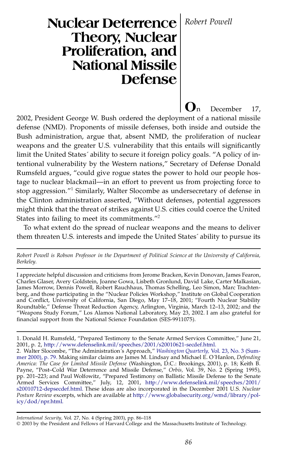*Robert Powell*

# **Nuclear Deterrence Theory, Nuclear Proliferation, and National Missile Defense**

December 17, 2002, President George W. Bush ordered the deployment of a national missile defense (NMD). Proponents of missile defenses, both inside and outside the Bush administration, argue that, absent NMD, the proliferation of nuclear weapons and the greater U.S. vulnerability that this entails will significantly limit the United States´ ability to secure it foreign policy goals. "A policy of intentional vulnerability by the Western nations," Secretary of Defense Donald Rumsfeld argues, "could give rogue states the power to hold our people hostage to nuclear blackmail—in an effort to prevent us from projecting force to stop aggression."<sup>1</sup> Similarly, Walter Slocombe as undersecretary of defense in the Clinton administration asserted, "Without defenses, potential aggressors might think that the threat of strikes against U.S. cities could coerce the United States into failing to meet its commitments."<sup>2</sup>

To what extent do the spread of nuclear weapons and the means to deliver them threaten U.S. interests and impede the United States´ ability to pursue its

*Robert Powell is Robson Professor in the Department of Political Science at the University of California, Berkeley.*

I appreciate helpful discussion and criticisms from Jerome Bracken, Kevin Donovan, James Fearon, Charles Glaser, Avery Goldstein, Joanne Gowa, Lisbeth Gronlund, David Lake, Carter Malkasian, James Morrow, Dennis Powell, Robert Rauchhaus, Thomas Schelling, Leo Simon, Marc Trachtenberg, and those participating in the "Nuclear Policies Workshop," Institute on Global Cooperation and Conflict, University of California, San Diego, May 17–18, 2001; "Fourth Nuclear Stability Roundtable," Defense Threat Reduction Agency, Arlington, Virginia, March 12–13, 2002; and the "Weapons Study Forum," Los Alamos National Laboratory, May 23, 2002. I am also grateful for financial support from the National Science Foundation (SES-9911075).

1. Donald H. Rumsfeld, "Prepared Testimony to the Senate Armed Services Committee," June 21, 2001, p. 2, [http://www.defenselink.mil/speeches/2001/s20010621-secdef.html.](http://www.defenselink.mil/speeches/2001/s20010621-secdef.html)

2. Walter Slocombe, "The Administration´s Approach," *[Washington](http://gessler.ingentaselect.com/nw=1/rpsv/cgi-bin/linker?ext=a&reqidx=/0163-660X^28^2923:3L.79[aid=4970381]) Quarterly,* Vol. 23, No. 3 (Sum mer [2000\),](http://gessler.ingentaselect.com/nw=1/rpsv/cgi-bin/linker?ext=a&reqidx=/0163-660X^28^2923:3L.79[aid=4970381]) p. 79. Making similar claims are James M. Lindsay and Michael E. O´Hanlon, *Defending America: The Case for Limited Missile Defense* (Washington, D.C.: Brookings, 2001), p. 18; Keith B. Payne, "Post–Cold War Deterrence and Missile Defense," *Orbis,* Vol. 39, No. 2 (Spring 1995), pp. 201–223; and Paul Wolfowitz, "Prepared Testimony on Ballistic Missile Defense to the Senate Armed Services Committee," July, 12, 2001, [http://www.defenselink.mil/speeches/2001/](http://www.defenselink.mil/speeches/2001/s20010712-depsecdef.html) [s20010712-depsecdef.html.](http://www.defenselink.mil/speeches/2001/s20010712-depsecdef.html) These ideas are also incorporated in the December 2001 U.S. *Nuclear Posture Review* excerpts, which are available at [http://www.globalsecurity.org/wmd/library/pol](http://www.globalsecurity.org/wmd/library/policy/dod/npr.html)[icy/dod/npr.html.](http://www.globalsecurity.org/wmd/library/policy/dod/npr.html)

*International Security,* Vol. 27, No. 4 (Spring 2003), pp. 86–118 © 2003 by the President and Fellows of Harvard College and the Massachusetts Institute of Technology.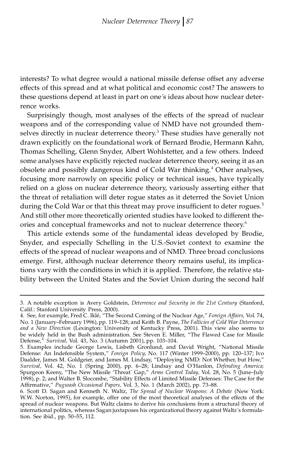interests? To what degree would a national missile defense offset any adverse effects of this spread and at what political and economic cost? The answers to these questions depend at least in part on one´s ideas about how nuclear deterrence works.

Surprisingly though, most analyses of the effects of the spread of nuclear weapons and of the corresponding value of NMD have not grounded themselves directly in nuclear deterrence theory. $3$  These studies have generally not drawn explicitly on the foundational work of Bernard Brodie, Hermann Kahn, Thomas Schelling, Glenn Snyder, Albert Wohlstetter, and a few others. Indeed some analyses have explicitly rejected nuclear deterrence theory, seeing it as an obsolete and possibly dangerous kind of Cold War thinking.<sup>4</sup> Other analyses, focusing more narrowly on specific policy or technical issues, have typically relied on a gloss on nuclear deterrence theory, variously asserting either that the threat of retaliation will deter rogue states as it deterred the Soviet Union during the Cold War or that this threat may prove insufficient to deter rogues.<sup>5</sup> And still other more theoretically oriented studies have looked to different theories and conceptual frameworks and not to nuclear deterrence theory.<sup>6</sup>

This article extends some of the fundamental ideas developed by Brodie, Snyder, and especially Schelling in the U.S.-Soviet context to examine the effects of the spread of nuclear weapons and of NMD. Three broad conclusions emerge. First, although nuclear deterrence theory remains useful, its implications vary with the conditions in which it is applied. Therefore, the relative stability between the United States and the Soviet Union during the second half

<sup>3.</sup> A notable exception is Avery Goldstein, *Deterrence and Security in the 21st Century* (Stanford, Calif.: Stanford University Press, 2000).

<sup>4.</sup> See, for example, Fred C. Iklé, "The Second Coming of the Nuclear Age," *Foreign Affairs,* Vol. 74, No. 1 (January–February 1996), pp. 119–128; and Keith B. Payne, *The Fallicies of Cold War Deterrence and a New Direction* (Lexington: University of Kentucky Press, 2001). This view also seems to be widely held in the Bush administration. See Steven E. Miller, "The Flawed Case for Missile Defense," *Survival,* Vol. 43, No. 3 (Autumn 2001), pp. 103–104.

<sup>5.</sup> Examples include George Lewis, Lisbeth Gronlund, and David Wright, "National Missile Defense: An Indefensible System," *Foreign Policy,* No. 117 (Winter 1999–2000), pp. 120–137; Ivo Daalder, James M. Goldgeier, and James M. Lindsay, "Deploying NMD: Not Whether, but How," *Survival,* Vol. 42, No. 1 (Spring 2000), pp. 6–28; Lindsay and O´Hanlon, *Defending America;* Spurgeon Keeny, "The New Missile 'Threat´ Gap," *Arms Control Today,* Vol. 28, No. 5 (June–July 1998), p. 2; and Walter B. Slocombe, "Stability Effects of Limited Missile Defenses: The Case for the Afrmative," *Pugwash Occasional Papers,* Vol. 3, No. 1 (March 2002), pp. 73–88.

<sup>6.</sup> Scott D. Sagan and Kenneth N. Waltz, *The Spread of Nuclear Weapons: A Debate* (New York: W.W. Norton, 1995), for example, offer one of the most theoretical analyses of the effects of the spread of nuclear weapons. But Waltz claims to derive his conclusions from a structural theory of international politics, whereas Sagan juxtaposes his organizational theory against Waltz´s formulation. See ibid., pp. 50–55, 112.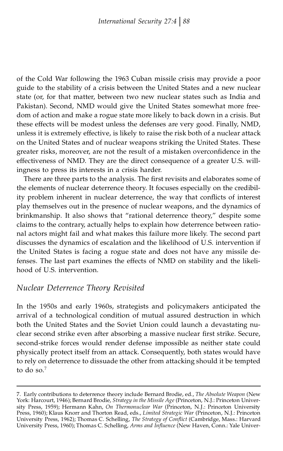of the Cold War following the 1963 Cuban missile crisis may provide a poor guide to the stability of a crisis between the United States and a new nuclear state (or, for that matter, between two new nuclear states such as India and Pakistan). Second, NMD would give the United States somewhat more freedom of action and make a rogue state more likely to back down in a crisis. But these effects will be modest unless the defenses are very good. Finally, NMD, unless it is extremely effective, is likely to raise the risk both of a nuclear attack on the United States and of nuclear weapons striking the United States. These greater risks, moreover, are not the result of a mistaken overconfidence in the effectiveness of NMD. They are the direct consequence of a greater U.S. willingness to press its interests in a crisis harder.

There are three parts to the analysis. The first revisits and elaborates some of the elements of nuclear deterrence theory. It focuses especially on the credibility problem inherent in nuclear deterrence, the way that conflicts of interest play themselves out in the presence of nuclear weapons, and the dynamics of brinkmanship. It also shows that "rational deterrence theory," despite some claims to the contrary, actually helps to explain how deterrence between rational actors might fail and what makes this failure more likely. The second part discusses the dynamics of escalation and the likelihood of U.S. intervention if the United States is facing a rogue state and does not have any missile defenses. The last part examines the effects of NMD on stability and the likelihood of U.S. intervention.

## *Nuclear Deterrence Theory Revisited*

In the 1950s and early 1960s, strategists and policymakers anticipated the arrival of a technological condition of mutual assured destruction in which both the United States and the Soviet Union could launch a devastating nuclear second strike even after absorbing a massive nuclear first strike. Secure, second-strike forces would render defense impossible as neither state could physically protect itself from an attack. Consequently, both states would have to rely on deterrence to dissuade the other from attacking should it be tempted to do so.<sup>7</sup>

<sup>7.</sup> Early contributions to deterrence theory include Bernard Brodie, ed., *The Absolute Weapon* (New York: Harcourt, 1946); Bernard Brodie, *Strategy in the Missile Age* (Princeton, N.J.: Princeton University Press, 1959); Hermann Kahn, *On Thermonuclear War* (Princeton, N.J.: Princeton University Press, 1960); Klaus Knorr and Thorton Read, eds., *Limited Strategic War* (Princeton, N.J.: Princeton University Press, 1962); Thomas C. Schelling, *The Strategy of Conict* (Cambridge, Mass.: Harvard University Press, 1960); Thomas C. Schelling, *Arms and Inuence* (New Haven, Conn.: Yale Univer-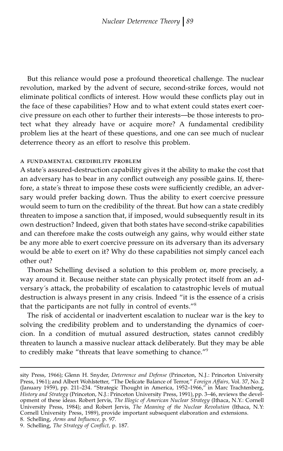But this reliance would pose a profound theoretical challenge. The nuclear revolution, marked by the advent of secure, second-strike forces, would not eliminate political conflicts of interest. How would these conflicts play out in the face of these capabilities? How and to what extent could states exert coercive pressure on each other to further their interests—be those interests to protect what they already have or acquire more? A fundamental credibility problem lies at the heart of these questions, and one can see much of nuclear deterrence theory as an effort to resolve this problem.

#### a fundamental credibility problem

A state´s assured-destruction capability gives it the ability to make the cost that an adversary has to bear in any conflict outweigh any possible gains. If, therefore, a state's threat to impose these costs were sufficiently credible, an adversary would prefer backing down. Thus the ability to exert coercive pressure would seem to turn on the credibility of the threat. But how can a state credibly threaten to impose a sanction that, if imposed, would subsequently result in its own destruction? Indeed, given that both states have second-strike capabilities and can therefore make the costs outweigh any gains, why would either state be any more able to exert coercive pressure on its adversary than its adversary would be able to exert on it? Why do these capabilities not simply cancel each other out?

Thomas Schelling devised a solution to this problem or, more precisely, a way around it. Because neither state can physically protect itself from an adversary´s attack, the probability of escalation to catastrophic levels of mutual destruction is always present in any crisis. Indeed "it is the essence of a crisis that the participants are not fully in control of events."<sup>8</sup>

The risk of accidental or inadvertent escalation to nuclear war is the key to solving the credibility problem and to understanding the dynamics of coercion. In a condition of mutual assured destruction, states cannot credibly threaten to launch a massive nuclear attack deliberately. But they may be able to credibly make "threats that leave something to chance."<sup>9</sup>

sity Press, 1966); Glenn H. Snyder, *Deterrence and Defense* (Princeton, N.J.: Princeton University Press, 1961); and Albert Wohlstetter, "The Delicate Balance of Terror," *Foreign Affairs,* Vol. 37, No. 2 (January 1959), pp. 211–234. "Strategic Thought in America, 1952–1966," in Marc Trachtenberg, *History and Strategy* (Princeton, N.J.: Princeton University Press, 1991), pp. 3–46, reviews the development of these ideas. Robert Jervis, *The Illogic of American Nuclear Strategy* (Ithaca, N.Y.: Cornell University Press, 1984); and Robert Jervis, *The Meaning of the Nuclear Revolution* (Ithaca, N.Y: Cornell University Press, 1989), provide important subsequent elaboration and extensions. 8. Schelling, *Arms and Inuence,* p. 97.

<sup>9.</sup> Schelling, *The Strategy of Conict,* p. 187.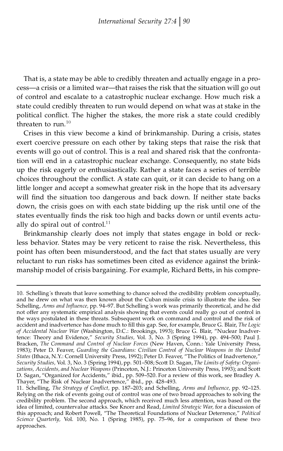That is, a state may be able to credibly threaten and actually engage in a process—a crisis or a limited war—that raises the risk that the situation will go out of control and escalate to a catastrophic nuclear exchange. How much risk a state could credibly threaten to run would depend on what was at stake in the political conflict. The higher the stakes, the more risk a state could credibly threaten to run. $10$ 

Crises in this view become a kind of brinkmanship. During a crisis, states exert coercive pressure on each other by taking steps that raise the risk that events will go out of control. This is a real and shared risk that the confrontation will end in a catastrophic nuclear exchange. Consequently, no state bids up the risk eagerly or enthusiastically. Rather a state faces a series of terrible choices throughout the conflict. A state can quit, or it can decide to hang on a little longer and accept a somewhat greater risk in the hope that its adversary will find the situation too dangerous and back down. If neither state backs down, the crisis goes on with each state bidding up the risk until one of the states eventually finds the risk too high and backs down or until events actually do spiral out of control. $11$ 

Brinkmanship clearly does not imply that states engage in bold or reckless behavior. States may be very reticent to raise the risk. Nevertheless, this point has often been misunderstood, and the fact that states usually are very reluctant to run risks has sometimes been cited as evidence against the brinkmanship model of crisis bargaining. For example, Richard Betts, in his compre-

<sup>10.</sup> Schelling´s threats that leave something to chance solved the credibility problem conceptually, and he drew on what was then known about the Cuban missile crisis to illustrate the idea. See Schelling, Arms and Influence, pp. 94–97. But Schelling's work was primarily theoretical, and he did not offer any systematic empirical analysis showing that events could really go out of control in the ways postulated in these threats. Subsequent work on command and control and the risk of accident and inadvertence has done much to fill this gap. See, for example, Bruce G. Blair, *The Logic of Accidental Nuclear War* (Washington, D.C.: Brookings, 1993); Bruce G. Blair, "Nuclear Inadvertence: Theory and Evidence," *Security Studies,* Vol. 3, No. 3 (Spring 1994), pp. 494–500; Paul J. Bracken, *The Command and Control of Nuclear Forces* (New Haven, Conn.: Yale University Press, 1983); Peter D. Feaver, *Guarding the Guardians: Civilian Control of Nuclear Weapons in the United States* (Ithaca, N.Y.: Cornell University Press, 1992); Peter D. Feaver, "The Politics of Inadvertence," *Security Studies,* Vol. 3, No. 3 (Spring 1994), pp. 501–508; Scott D. Sagan, *The Limits of Safety: Organizations, Accidents, and Nuclear Weapons* (Princeton, N.J.: Princeton University Press, 1993); and Scott D. Sagan, "Organized for Accidents," ibid., pp. 509–520. For a review of this work, see Bradley A. Thayer, "The Risk of Nuclear Inadvertence," ibid., pp. 428–493.

<sup>11.</sup> Schelling, *The Strategy of Conict,* pp. 187–203; and Schelling, *Arms and Inuence,* pp. 92–125. Relying on the risk of events going out of control was one of two broad approaches to solving the credibility problem. The second approach, which received much less attention, was based on the idea of limited, countervalue attacks. See Knorr and Read, *Limited Strategic War,* for a discussion of this approach; and Robert Powell, "The Theoretical Foundations of Nuclear Deterrence," *Political Science Quarterly,* Vol. 100, No. 1 (Spring 1985), pp. 75–96, for a comparison of these two approaches.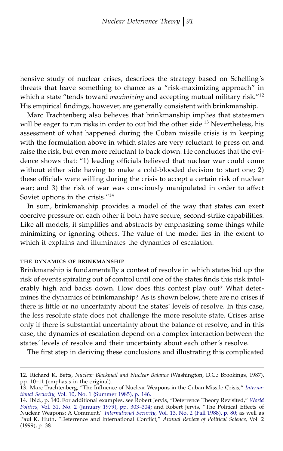hensive study of nuclear crises, describes the strategy based on Schelling´s threats that leave something to chance as a "risk-maximizing approach" in which a state "tends toward *maximizing* and accepting mutual military risk."<sup>12</sup> His empirical findings, however, are generally consistent with brinkmanship.

Marc Trachtenberg also believes that brinkmanship implies that statesmen will be eager to run risks in order to out bid the other side.<sup>13</sup> Nevertheless, his assessment of what happened during the Cuban missile crisis is in keeping with the formulation above in which states are very reluctant to press on and raise the risk, but even more reluctant to back down. He concludes that the evidence shows that: "1) leading officials believed that nuclear war could come without either side having to make a cold-blooded decision to start one; 2) these officials were willing during the crisis to accept a certain risk of nuclear war; and 3) the risk of war was consciously manipulated in order to affect Soviet options in the crisis."<sup>14</sup>

In sum, brinkmanship provides a model of the way that states can exert coercive pressure on each other if both have secure, second-strike capabilities. Like all models, it simplifies and abstracts by emphasizing some things while minimizing or ignoring others. The value of the model lies in the extent to which it explains and illuminates the dynamics of escalation.

### the dynamics of brinkmanship

Brinkmanship is fundamentally a contest of resolve in which states bid up the risk of events spiraling out of control until one of the states finds this risk intolerably high and backs down. How does this contest play out? What determines the dynamics of brinkmanship? As is shown below, there are no crises if there is little or no uncertainty about the states´ levels of resolve. In this case, the less resolute state does not challenge the more resolute state. Crises arise only if there is substantial uncertainty about the balance of resolve, and in this case, the dynamics of escalation depend on a complex interaction between the states´ levels of resolve and their uncertainty about each other´s resolve.

The first step in deriving these conclusions and illustrating this complicated

<sup>12.</sup> Richard K. Betts, *Nuclear Blackmail and Nuclear Balance* (Washington, D.C.: Brookings, 1987), pp. 10–11 (emphasis in the original).

<sup>13.</sup> Marc Trachtenberg, "The Influence of Nuclear Weapons in the Cuban Missile Crisis," [Interna](http://gessler.ingentaselect.com/nw=1/rpsv/cgi-bin/linker?ext=a&reqidx=/0162-2889^28^2910:1L.146[aid=4970390])*tional Security,* Vol. 10, No. 1 [\(Summer](http://gessler.ingentaselect.com/nw=1/rpsv/cgi-bin/linker?ext=a&reqidx=/0162-2889^28^2910:1L.146[aid=4970390]) 1985), p. 146.

<sup>14.</sup> Ibid., p. 140. For additional examples, see Robert Jervis, "Deterrence Theory Revisited," *[World](http://gessler.ingentaselect.com/nw=1/rpsv/cgi-bin/linker?ext=a&reqidx=/0043-8871^28197901^2931:2L.303[aid=4970391]) Politics,* Vol. 31, No. 2 [\(January](http://gessler.ingentaselect.com/nw=1/rpsv/cgi-bin/linker?ext=a&reqidx=/0043-8871^28197901^2931:2L.303[aid=4970391]) 1979), pp. 303–304; and Robert Jervis, "The Political Effects of Nuclear Weapons: A Comment," *[International](http://gessler.ingentaselect.com/nw=1/rpsv/cgi-bin/linker?ext=a&reqidx=/0162-2889^28^2913:2L.80[aid=4970392]) Security,* Vol. 13, No. 2 (Fall 1988), p. 80; as well as Paul K. Huth, "Deterrence and International Conflict," *Annual Review of Political Science*, Vol. 2 (1999), p. 38.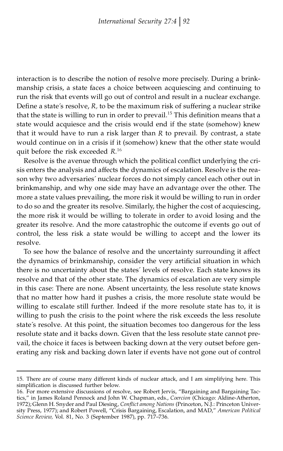interaction is to describe the notion of resolve more precisely. During a brinkmanship crisis, a state faces a choice between acquiescing and continuing to run the risk that events will go out of control and result in a nuclear exchange. Define a state's resolve,  $R$ , to be the maximum risk of suffering a nuclear strike that the state is willing to run in order to prevail.<sup>15</sup> This definition means that a state would acquiesce and the crisis would end if the state (somehow) knew that it would have to run a risk larger than *R* to prevail. By contrast, a state would continue on in a crisis if it (somehow) knew that the other state would quit before the risk exceeded *R.*<sup>16</sup>

Resolve is the avenue through which the political conflict underlying the crisis enters the analysis and affects the dynamics of escalation. Resolve is the reason why two adversaries´ nuclear forces do not simply cancel each other out in brinkmanship, and why one side may have an advantage over the other. The more a state values prevailing, the more risk it would be willing to run in order to do so and the greater its resolve. Similarly, the higher the cost of acquiescing, the more risk it would be willing to tolerate in order to avoid losing and the greater its resolve. And the more catastrophic the outcome if events go out of control, the less risk a state would be willing to accept and the lower its resolve.

To see how the balance of resolve and the uncertainty surrounding it affect the dynamics of brinkmanship, consider the very artificial situation in which there is no uncertainty about the states´ levels of resolve. Each state knows its resolve and that of the other state. The dynamics of escalation are very simple in this case: There are none. Absent uncertainty, the less resolute state knows that no matter how hard it pushes a crisis, the more resolute state would be willing to escalate still further. Indeed if the more resolute state has to, it is willing to push the crisis to the point where the risk exceeds the less resolute state´s resolve. At this point, the situation becomes too dangerous for the less resolute state and it backs down. Given that the less resolute state cannot prevail, the choice it faces is between backing down at the very outset before generating any risk and backing down later if events have not gone out of control

<sup>15.</sup> There are of course many different kinds of nuclear attack, and I am simplifying here. This simplification is discussed further below.

<sup>16.</sup> For more extensive discussions of resolve, see Robert Jervis, "Bargaining and Bargaining Tactics," in James Roland Pennock and John W. Chapman, eds., *Coercion* (Chicago: Aldine-Atherton, 1972); Glenn H. Snyder and Paul Diesing, *Conflict among Nations* (Princeton, N.J.: Princeton University Press, 1977); and Robert Powell, "Crisis Bargaining, Escalation, and MAD," *American Political Science Review,* Vol. 81, No. 3 (September 1987), pp. 717–736.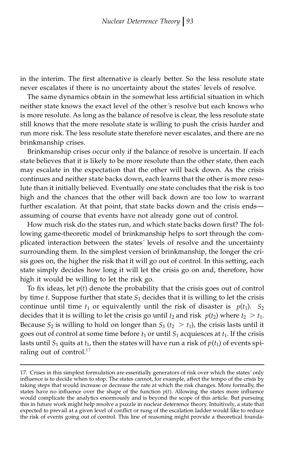in the interim. The first alternative is clearly better. So the less resolute state never escalates if there is no uncertainty about the states´ levels of resolve.

The same dynamics obtain in the somewhat less artificial situation in which neither state knows the exact level of the other´s resolve but each knows who is more resolute. As long as the balance of resolve is clear, the less resolute state still knows that the more resolute state is willing to push the crisis harder and run more risk. The less resolute state therefore never escalates, and there are no brinkmanship crises.

Brinkmanship crises occur only if the balance of resolve is uncertain. If each state believes that it is likely to be more resolute than the other state, then each may escalate in the expectation that the other will back down. As the crisis continues and neither state backs down, each learns that the other is more resolute than it initially believed. Eventually one state concludes that the risk is too high and the chances that the other will back down are too low to warrant further escalation. At that point, that state backs down and the crisis ends assuming of course that events have not already gone out of control.

How much risk do the states run, and which state backs down first? The following game-theoretic model of brinkmanship helps to sort through the complicated interaction between the states´ levels of resolve and the uncertainty surrounding them. In the simplest version of brinkmanship, the longer the crisis goes on, the higher the risk that it will go out of control. In this setting, each state simply decides how long it will let the crisis go on and, therefore, how high it would be willing to let the risk go.

To fix ideas, let  $p(t)$  denote the probability that the crisis goes out of control by time  $t$ . Suppose further that state  $S_1$  decides that it is willing to let the crisis continue until time  $t_1$  or equivalently until the risk of disaster is  $p(t_1)$ .  $S_2$ decides that it is willing to let the crisis go until  $t_2$  and risk  $p(t_2)$  where  $t_2 > t_1$ . Because  $S_2$  is willing to hold on longer than  $S_1$  ( $t_2 > t_1$ ), the crisis lasts until it goes out of control at some time before  $t_1$  or until  $S_1$  acquiesces at  $t_1$ . If the crisis lasts until  $S_1$  quits at  $t_1$ , then the states will have run a risk of  $p(t_1)$  of events spiraling out of control. $17$ 

<sup>17.</sup> Crises in this simplest formulation are essentially generators of risk over which the states´ only influence is to decide when to stop. The states cannot, for example, affect the tempo of the crisis by taking steps that would increase or decrease the rate at which the risk changes. More formally, the states have no influence over the shape of the function  $p(t)$ . Allowing the states more influence would complicate the analytics enormously and is beyond the scope of this article. But pursuing this in future work might help resolve a puzzle in nuclear deterrence theory. Intuitively, a state that expected to prevail at a given level of conflict or rung of the escalation ladder would like to reduce the risk of events going out of control. This line of reasoning might provide a theoretical founda-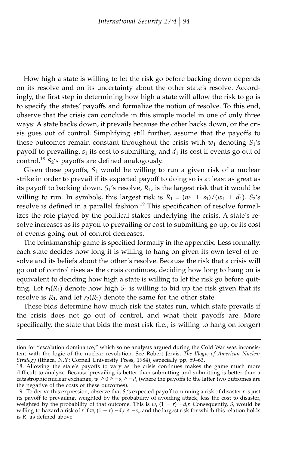How high a state is willing to let the risk go before backing down depends on its resolve and on its uncertainty about the other state´s resolve. Accordingly, the first step in determining how high a state will allow the risk to go is to specify the states´ payoffs and formalize the notion of resolve. To this end, observe that the crisis can conclude in this simple model in one of only three ways: A state backs down, it prevails because the other backs down, or the crisis goes out of control. Simplifying still further, assume that the payoffs to these outcomes remain constant throughout the crisis with  $w_1$  denoting  $S_1$ 's payoff to prevailing,  $s_1$  its cost to submitting, and  $d_1$  its cost if events go out of control.<sup>18</sup>  $S_2$ 's payoffs are defined analogously.

Given these payoffs, *S*<sup>1</sup> would be willing to run a given risk of a nuclear strike in order to prevail if its expected payoff to doing so is at least as great as its payoff to backing down.  $S_1$ 's resolve,  $R_1$ , is the largest risk that it would be willing to run. In symbols, this largest risk is  $R_1 = (w_1 + s_1)/(w_1 + d_1)$ .  $S_2$ 's resolve is defined in a parallel fashion.<sup>19</sup> This specification of resolve formalizes the role played by the political stakes underlying the crisis. A state´s resolve increases as its payoff to prevailing or cost to submitting go up, or its cost of events going out of control decreases.

The brinkmanship game is specified formally in the appendix. Less formally, each state decides how long it is willing to hang on given its own level of resolve and its beliefs about the other´s resolve. Because the risk that a crisis will go out of control rises as the crisis continues, deciding how long to hang on is equivalent to deciding how high a state is willing to let the risk go before quitting. Let  $r_1(R_1)$  denote how high  $S_1$  is willing to bid up the risk given that its resolve is  $R_1$ , and let  $r_2(R_2)$  denote the same for the other state.

These bids determine how much risk the states run, which state prevails if the crisis does not go out of control, and what their payoffs are. More specifically, the state that bids the most risk (i.e., is willing to hang on longer)

tion for "escalation dominance," which some analysts argued during the Cold War was inconsistent with the logic of the nuclear revolution. See Robert Jervis, *The Illogic of American Nuclear Strategy* (Ithaca, N.Y.: Cornell University Press, 1984), especially pp. 59–63.

<sup>18.</sup> Allowing the state´s payoffs to vary as the crisis continues makes the game much more difficult to analyze. Because prevailing is better than submitting and submitting is better than a catastrophic nuclear exchange,  $w_1 \ge 0 \ge -s_1 \ge -d_1$  (where the payoffs to the latter two outcomes are the negative of the costs of these outcomes).

<sup>19.</sup> To derive this expression, observe that  $S_1$ 's expected payoff to running a risk of disaster *r* is just its payoff to prevailing, weighted by the probability of avoiding attack, less the cost to disaster, weighted by the probability of that outcome. This is  $w_1 (1 - r) - d_1 r$ . Consequently,  $S_1$  would be willing to hazard a risk of *r* if  $w_1(1 - r) - d_1 r \ge -s_1$ , and the largest risk for which this relation holds is  $R_1$  as defined above.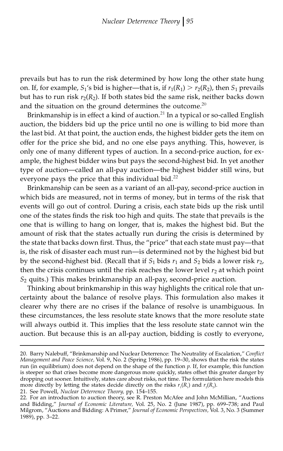prevails but has to run the risk determined by how long the other state hung on. If, for example,  $S_1$ 's bid is higher—that is, if  $r_1(R_1) > r_2(R_2)$ , then  $S_1$  prevails but has to run risk  $r_2(R_2)$ . If both states bid the same risk, neither backs down and the situation on the ground determines the outcome. $20$ 

Brinkmanship is in effect a kind of auction. $^{21}$  In a typical or so-called English auction, the bidders bid up the price until no one is willing to bid more than the last bid. At that point, the auction ends, the highest bidder gets the item on offer for the price she bid, and no one else pays anything. This, however, is only one of many different types of auction. In a second-price auction, for example, the highest bidder wins but pays the second-highest bid. In yet another type of auction—called an all-pay auction—the highest bidder still wins, but everyone pays the price that this individual bid.<sup>22</sup>

Brinkmanship can be seen as a variant of an all-pay, second-price auction in which bids are measured, not in terms of money, but in terms of the risk that events will go out of control. During a crisis, each state bids up the risk until one of the states finds the risk too high and quits. The state that prevails is the one that is willing to hang on longer, that is, makes the highest bid. But the amount of risk that the states actually run during the crisis is determined by the state that backs down first. Thus, the "price" that each state must pay-that is, the risk of disaster each must run—is determined not by the highest bid but by the second-highest bid. (Recall that if  $S_1$  bids  $r_1$  and  $S_2$  bids a lower risk  $r_2$ , then the crisis continues until the risk reaches the lower level  $r<sub>2</sub>$  at which point *S*<sup>2</sup> quits.) This makes brinkmanship an all-pay, second-price auction.

Thinking about brinkmanship in this way highlights the critical role that uncertainty about the balance of resolve plays. This formulation also makes it clearer why there are no crises if the balance of resolve is unambiguous. In these circumstances, the less resolute state knows that the more resolute state will always outbid it. This implies that the less resolute state cannot win the auction. But because this is an all-pay auction, bidding is costly to everyone,

<sup>20.</sup> Barry Nalebuff, "Brinkmanship and Nuclear Deterrence: The Neutrality of Escalation," *Conict Management and Peace Science,* Vol. 9, No. 2 (Spring 1986), pp. 19–30, shows that the risk the states run (in equilibrium) does not depend on the shape of the function *p.*If, for example, this function is steeper so that crises become more dangerous more quickly, states offset this greater danger by dropping out sooner. Intuitively, states care about risks, not time. The formulation here models this more directly by letting the states decide directly on the risks  $r_1(R_1)$  and  $r_2(R_2)$ .

<sup>21.</sup> See Powell, *Nuclear Deterrence Theory,* pp. 154–155.

<sup>22.</sup> For an introduction to auction theory, see R. Preston McAfee and John McMillian, "Auctions and Bidding," *Journal of Economic Literature,* Vol. 25, No. 2 (June 1987), pp. 699–738; and Paul Milgrom, "Auctions and Bidding: A Primer," *Journal of Economic Perspectives,* Vol. 3, No. 3 (Summer 1989), pp. 3–22.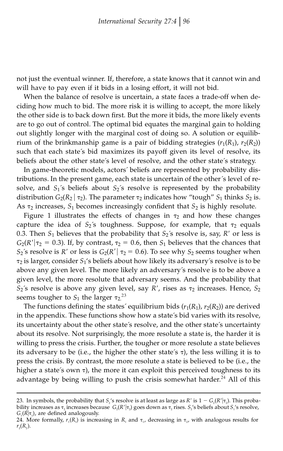not just the eventual winner. If, therefore, a state knows that it cannot win and will have to pay even if it bids in a losing effort, it will not bid.

When the balance of resolve is uncertain, a state faces a trade-off when deciding how much to bid. The more risk it is willing to accept, the more likely the other side is to back down first. But the more it bids, the more likely events are to go out of control. The optimal bid equates the marginal gain to holding out slightly longer with the marginal cost of doing so. A solution or equilibrium of the brinkmanship game is a pair of bidding strategies  $(r_1(R_1), r_2(R_2))$ such that each state´s bid maximizes its payoff given its level of resolve, its beliefs about the other state's level of resolve, and the other state's strategy.

In game-theoretic models, actors´ beliefs are represented by probability distributions. In the present game, each state is uncertain of the other´s level of resolve, and  $S_1$ 's beliefs about  $S_2$ 's resolve is represented by the probability distribution  $G_2(R_2 | \tau_2)$ . The parameter  $\tau_2$  indicates how "tough"  $S_1$  thinks  $S_2$  is. As  $\tau_2$  increases,  $S_1$  becomes increasingly confident that  $S_2$  is highly resolute.

Figure 1 illustrates the effects of changes in  $\tau_2$  and how these changes capture the idea of  $S_2$ 's toughness. Suppose, for example, that  $\tau_2$  equals 0.3. Then  $S_1$  believes that the probability that  $S_2$ 's resolve is, say,  $R'$  or less is  $G_2(R'|\tau_2 = 0.3)$ . If, by contrast,  $\tau_2 = 0.6$ , then  $S_1$  believes that the chances that  $S_2$ 's resolve is *R'* or less is  $G_2(R' | \tau_2 = 0.6)$ . To see why  $S_2$  seems tougher when  $\tau_2$  is larger, consider  $S_1$ 's beliefs about how likely its adversary's resolve is to be above any given level. The more likely an adversary´s resolve is to be above a given level, the more resolute that adversary seems. And the probability that  $S_2$ 's resolve is above any given level, say *R'*, rises as  $\tau_2$  increases. Hence,  $S_2$ seems tougher to  $S_1$  the larger  $\tau_2$ <sup>23</sup>

The functions defining the states' equilibrium bids  $(r_1(R_1), r_2(R_2))$  are derived in the appendix. These functions show how a state´s bid varies with its resolve, its uncertainty about the other state´s resolve, and the other state´s uncertainty about its resolve. Not surprisingly, the more resolute a state is, the harder it is willing to press the crisis. Further, the tougher or more resolute a state believes its adversary to be (i.e., the higher the other state's  $\tau$ ), the less willing it is to press the crisis. By contrast, the more resolute a state is believed to be (i.e., the higher a state's own  $\tau$ ), the more it can exploit this perceived toughness to its advantage by being willing to push the crisis somewhat harder. $^{24}$  All of this

<sup>23.</sup> In symbols, the probability that *S*<sub>2</sub>'s resolve is at least as large as *R*<sup>1</sup> is  $1 - G(x^2|\tau_2)$ . This probability increases as  $\tau_2$  increases because  $G_2(R'|\tau_2)$  goes down as  $\tau_2$  rises.  $S_2$ 's beliefs about  $S_1$ 's resolve,  $G_1(\overline{R}|\tau_1)$ , are defined analogously.

<sup>24.</sup> More formally,  $r_1(R_1)$  is increasing in  $R_1$  and  $\tau_1$ , decreasing in  $\tau_2$ , with analogous results for  $r_2(R_2)$ .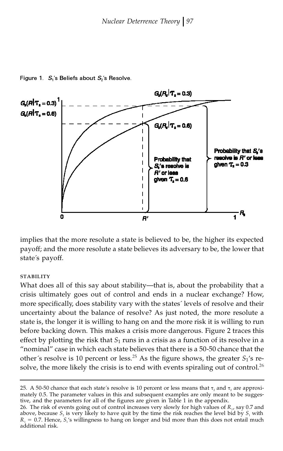



implies that the more resolute a state is believed to be, the higher its expected payoff; and the more resolute a state believes its adversary to be, the lower that state´s payoff.

#### **STABILITY**

What does all of this say about stability—that is, about the probability that a crisis ultimately goes out of control and ends in a nuclear exchange? How, more specifically, does stability vary with the states' levels of resolve and their uncertainty about the balance of resolve? As just noted, the more resolute a state is, the longer it is willing to hang on and the more risk it is willing to run before backing down. This makes a crisis more dangerous. Figure 2 traces this effect by plotting the risk that  $S_1$  runs in a crisis as a function of its resolve in a "nominal" case in which each state believes that there is a 50-50 chance that the other's resolve is 10 percent or less.<sup>25</sup> As the figure shows, the greater  $S_1$ 's resolve, the more likely the crisis is to end with events spiraling out of control.<sup>26</sup>

<sup>25.</sup> A 50-50 chance that each state's resolve is 10 percent or less means that  $\tau_2$  and  $\tau_2$  are approximately 0.5. The parameter values in this and subsequent examples are only meant to be suggestive, and the parameters for all of the figures are given in Table 1 in the appendix.

<sup>26.</sup> The risk of events going out of control increases very slowly for high values of *R*1, say 0.7 and above, because  $S_2$  is very likely to have quit by the time the risk reaches the level bid by  $S_1$  with  $R_1 = 0.7$ . Hence,  $S_1$ 's willingness to hang on longer and bid more than this does not entail much additional risk.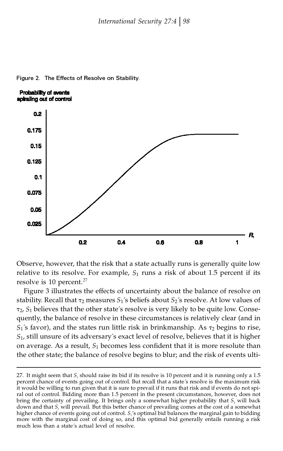**Figure 2. The Effects of Resolve on Stability.**





Observe, however, that the risk that a state actually runs is generally quite low relative to its resolve. For example, *S*<sup>1</sup> runs a risk of about 1.5 percent if its resolve is 10 percent.<sup>27</sup>

Figure 3 illustrates the effects of uncertainty about the balance of resolve on stability. Recall that  $\tau_2$  measures  $S_1$ 's beliefs about  $S_2$ 's resolve. At low values of  $\tau_2$ ,  $S_1$  believes that the other state's resolve is very likely to be quite low. Consequently, the balance of resolve in these circumstances is relatively clear (and in  $S_1$ <sup>'s</sup> favor), and the states run little risk in brinkmanship. As  $\tau_2$  begins to rise, *S*1, still unsure of its adversary´s exact level of resolve, believes that it is higher on average. As a result,  $S_1$  becomes less confident that it is more resolute than the other state; the balance of resolve begins to blur; and the risk of events ulti-

<sup>27.</sup> It might seem that  $S<sub>1</sub>$  should raise its bid if its resolve is 10 percent and it is running only a 1.5 percent chance of events going out of control. But recall that a state´s resolve is the maximum risk it would be willing to run given that it is sure to prevail if it runs that risk and if events do not spiral out of control. Bidding more than 1.5 percent in the present circumstances, however, does not bring the certainty of prevailing. It brings only a somewhat higher probability that *S*<sub>2</sub> will back down and that *S*<sub>1</sub> will prevail. But this better chance of prevailing comes at the cost of a somewhat higher chance of events going out of control. *S*1's optimal bid balances the marginal gain to bidding more with the marginal cost of doing so, and this optimal bid generally entails running a risk much less than a state´s actual level of resolve.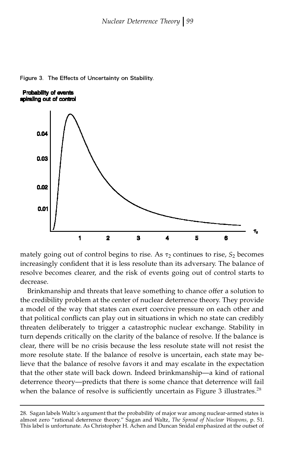**Figure 3. The Effects of Uncertainty on Stability.**



mately going out of control begins to rise. As  $\tau_2$  continues to rise,  $S_2$  becomes increasingly confident that it is less resolute than its adversary. The balance of resolve becomes clearer, and the risk of events going out of control starts to decrease.

Brinkmanship and threats that leave something to chance offer a solution to the credibility problem at the center of nuclear deterrence theory. They provide a model of the way that states can exert coercive pressure on each other and that political conflicts can play out in situations in which no state can credibly threaten deliberately to trigger a catastrophic nuclear exchange. Stability in turn depends critically on the clarity of the balance of resolve. If the balance is clear, there will be no crisis because the less resolute state will not resist the more resolute state. If the balance of resolve is uncertain, each state may believe that the balance of resolve favors it and may escalate in the expectation that the other state will back down. Indeed brinkmanship—a kind of rational deterrence theory—predicts that there is some chance that deterrence will fail when the balance of resolve is sufficiently uncertain as Figure 3 illustrates. $^{28}$ 

<sup>28.</sup> Sagan labels Waltz´s argument that the probability of major war among nuclear-armed states is almost zero "rational deterrence theory." Sagan and Waltz, *The Spread of Nuclear Weapons,* p. 51. This label is unfortunate. As Christopher H. Achen and Duncan Snidal emphasized at the outset of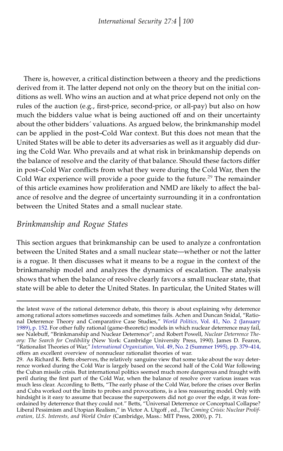There is, however, a critical distinction between a theory and the predictions derived from it. The latter depend not only on the theory but on the initial conditions as well. Who wins an auction and at what price depend not only on the rules of the auction (e.g., first-price, second-price, or all-pay) but also on how much the bidders value what is being auctioned off and on their uncertainty about the other bidders´ valuations. As argued below, the brinkmanship model can be applied in the post–Cold War context. But this does not mean that the United States will be able to deter its adversaries as well as it arguably did during the Cold War. Who prevails and at what risk in brinkmanship depends on the balance of resolve and the clarity of that balance. Should these factors differ in post-Cold War conflicts from what they were during the Cold War, then the Cold War experience will provide a poor guide to the future.<sup>29</sup> The remainder of this article examines how proliferation and NMD are likely to affect the balance of resolve and the degree of uncertainty surrounding it in a confrontation between the United States and a small nuclear state.

# *Brinkmanship and Rogue States*

This section argues that brinkmanship can be used to analyze a confrontation between the United States and a small nuclear state—whether or not the latter is a rogue. It then discusses what it means to be a rogue in the context of the brinkmanship model and analyzes the dynamics of escalation. The analysis shows that when the balance of resolve clearly favors a small nuclear state, that state will be able to deter the United States. In particular, the United States will

the latest wave of the rational deterrence debate, this theory is about explaining why deterrence among rational actors sometimes succeeds and sometimes fails. Achen and Duncan Snidal, "Rational Deterrence Theory and Comparative Case Studies," *World Politics,* Vol. 41, No. 2 [\(January](http://gessler.ingentaselect.com/nw=1/rpsv/cgi-bin/linker?ext=a&reqidx=/0043-8871^28198901^2941:2L.152[aid=4970396]) [1989\),](http://gessler.ingentaselect.com/nw=1/rpsv/cgi-bin/linker?ext=a&reqidx=/0043-8871^28198901^2941:2L.152[aid=4970396]) p. 152. For other fully rational (game-theoretic) models in which nuclear deterrence may fail, see Nalebuff, "Brinkmanship and Nuclear Deterrence"; and Robert Powell, *Nuclear Deterrence Theory: The Search for Credibility* (New York: Cambridge University Press, 1990). James D. Fearon, "Rationalist Theories of War," *International [Organization,](http://gessler.ingentaselect.com/nw=1/rpsv/cgi-bin/linker?ext=a&reqidx=/0020-8183^28199522^2949:2L.379[aid=223011])* Vol. 49, No. 2 (Summer 1995), pp. 379–414, offers an excellent overview of nonnuclear rationalist theories of war.

<sup>29.</sup> As Richard K. Betts observes, the relatively sanguine view that some take about the way deter rence worked during the Cold War is largely based on the second half of the Cold War following the Cuban missile crisis. But international politics seemed much more dangerous and fraught with peril during the first part of the Cold War, when the balance of resolve over various issues was much less clear. According to Betts, "The early phase of the Cold War, before the crises over Berlin and Cuba worked out the limits to probes and provocations, is a less reassuring model. Only with hindsight is it easy to assume that because the superpowers did not go over the edge, it was foreordained by deterrence that they could not." Betts, "Universal Deterrence or Conceptual Collapse? Liberal Pessimism and Utopian Realism," in Victor A. Utgoff , ed., *The Coming Crisis: Nuclear Proliferation, U.S*. *Interests, and World Order* (Cambridge, Mass.: MIT Press, 2000), p. 71.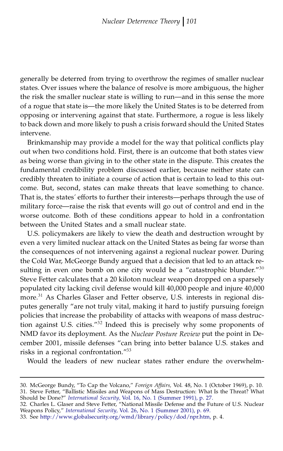generally be deterred from trying to overthrow the regimes of smaller nuclear states. Over issues where the balance of resolve is more ambiguous, the higher the risk the smaller nuclear state is willing to run—and in this sense the more of a rogue that state is—the more likely the United States is to be deterred from opposing or intervening against that state. Furthermore, a rogue is less likely to back down and more likely to push a crisis forward should the United States intervene.

Brinkmanship may provide a model for the way that political conflicts play out when two conditions hold. First, there is an outcome that both states view as being worse than giving in to the other state in the dispute. This creates the fundamental credibility problem discussed earlier, because neither state can credibly threaten to initiate a course of action that is certain to lead to this outcome. But, second, states can make threats that leave something to chance. That is, the states´ efforts to further their interests—perhaps through the use of military force—raise the risk that events will go out of control and end in the worse outcome. Both of these conditions appear to hold in a confrontation between the United States and a small nuclear state.

U.S. policymakers are likely to view the death and destruction wrought by even a very limited nuclear attack on the United States as being far worse than the consequences of not intervening against a regional nuclear power. During the Cold War, McGeorge Bundy argued that a decision that led to an attack resulting in even one bomb on one city would be a "catastrophic blunder."30 Steve Fetter calculates that a 20 kiloton nuclear weapon dropped on a sparsely populated city lacking civil defense would kill 40,000 people and injure 40,000 more.<sup>31</sup> As Charles Glaser and Fetter observe, U.S. interests in regional disputes generally "are not truly vital, making it hard to justify pursuing foreign policies that increase the probability of attacks with weapons of mass destruction against U.S. cities." $32$  Indeed this is precisely why some proponents of NMD favor its deployment. As the *Nuclear Posture Review* put the point in December 2001, missile defenses "can bring into better balance U.S. stakes and risks in a regional confrontation."<sup>33</sup>

Would the leaders of new nuclear states rather endure the overwhelm-

<sup>30.</sup> McGeorge Bundy, "To Cap the Volcano," *Foreign Affairs,* Vol. 48, No. 1 (October 1969), p. 10. 31. Steve Fetter, "Ballistic Missiles and Weapons of Mass Destruction: What Is the Threat? What Should be Done?" *[International](http://gessler.ingentaselect.com/nw=1/rpsv/cgi-bin/linker?ext=a&reqidx=/0162-2889^28^2916:1L.27[aid=1949775]) Security,* Vol. 16, No. 1 (Summer 1991), p. 27.

<sup>32.</sup> Charles L. Glaser and Steve Fetter, "National Missile Defense and the Future of U.S. Nuclear Weapons Policy," *[International](http://gessler.ingentaselect.com/nw=1/rpsv/cgi-bin/linker?ext=a&reqidx=/0162-2889^28^2926:1L.69[aid=4970398]) Security,* Vol. 26, No. 1 (Summer 2001), p. 69.

<sup>33.</sup> See [http://www.globalsecurity.org/wmd/library/policy/dod/npr.htm,](http://www.globalsecurity.org/wmd/library/policy/dod/npr.htm) p. 4.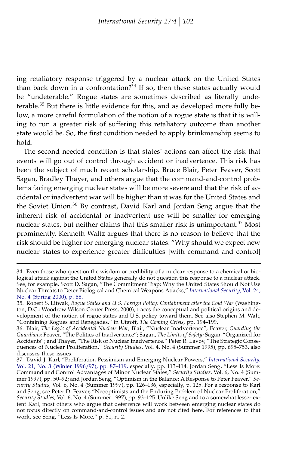ing retaliatory response triggered by a nuclear attack on the United States than back down in a confrontation?<sup>34</sup> If so, then these states actually would be "undeterable." Rogue states are sometimes described as literally undeterable.<sup>35</sup> But there is little evidence for this, and as developed more fully below, a more careful formulation of the notion of a rogue state is that it is willing to run a greater risk of suffering this retaliatory outcome than another state would be. So, the first condition needed to apply brinkmanship seems to hold.

The second needed condition is that states´ actions can affect the risk that events will go out of control through accident or inadvertence. This risk has been the subject of much recent scholarship. Bruce Blair, Peter Feaver, Scott Sagan, Bradley Thayer, and others argue that the command-and-control problems facing emerging nuclear states will be more severe and that the risk of accidental or inadvertent war will be higher than it was for the United States and the Soviet Union.<sup>36</sup> By contrast, David Karl and Jordan Seng argue that the inherent risk of accidental or inadvertent use will be smaller for emerging nuclear states, but neither claims that this smaller risk is unimportant.<sup>37</sup> Most prominently, Kenneth Waltz argues that there is no reason to believe that the risk should be higher for emerging nuclear states. "Why should we expect new nuclear states to experience greater difficulties [with command and control]

<sup>34.</sup> Even those who question the wisdom or credibility of a nuclear response to a chemical or biological attack against the United States generally do not question this response to a nuclear attack. See, for example, Scott D. Sagan, "The Commitment Trap: Why the United States Should Not Use Nuclear Threats to Deter Biological and Chemical Weapons Attacks," *[International](http://gessler.ingentaselect.com/nw=1/rpsv/cgi-bin/linker?ext=a&reqidx=/0162-2889^28^2924:4L.88[aid=4970399]) Security,* Vol. 24, No. 4 [\(Spring](http://gessler.ingentaselect.com/nw=1/rpsv/cgi-bin/linker?ext=a&reqidx=/0162-2889^28^2924:4L.88[aid=4970399]) 2000), p. 88.

<sup>35.</sup> Robert S. Litwak, *Rogue States and U.S*. *Foreign Policy: Containment after the Cold War* (Washington, D.C.: Woodrow Wilson Center Press, 2000), traces the conceptual and political origins and development of the notion of rogue states and U.S. policy toward them. See also Stephen M. Walt, "Containing Rogues and Renegades," in Utgoff, *The Coming Crisis,* pp. 194–199.

<sup>36.</sup> Blair, *The Logic of Accidental Nuclear War;* Blair, "Nuclear Inadvertence"; Feaver, *Guarding the Guardians;* Feaver, "The Politics of Inadvertence"; Sagan, *The Limits of Safety;* Sagan, "Organized for Accidents"; and Thayer, "The Risk of Nuclear Inadvertence." Peter R. Lavoy, "The Strategic Consequences of Nuclear Proliferation," *Security Studies,* Vol. 4, No. 4 (Summer 1995), pp. 695–753, also discusses these issues.

<sup>37.</sup> David J. Karl, "Proliferation Pessimism and Emerging Nuclear Powers," *[International](http://gessler.ingentaselect.com/nw=1/rpsv/cgi-bin/linker?ext=a&reqidx=/0162-2889^28^2921:3L.87[aid=4970401]) Security,* Vol. 21, No. 3 (Winter [1996/97\),](http://gessler.ingentaselect.com/nw=1/rpsv/cgi-bin/linker?ext=a&reqidx=/0162-2889^28^2921:3L.87[aid=4970401]) pp. 87–119, especially, pp. 113–114. Jordan Seng, "Less Is More: Command and Control Advantages of Minor Nuclear States," *Security Studies,* Vol. 6, No. 4 (Sum mer 1997), pp. 50–92; and Jordan Seng, "Optimism in the Balance: A Response to Peter Feaver," *Security Studies,* Vol. 6, No. 4 (Summer 1997), pp. 126–136, especially, p. 125. For a response to Karl and Seng, see Peter D. Feaver, "Neooptimists and the Enduring Problem of Nuclear Proliferation," *Security Studies,* Vol. 6, No. 4 (Summer 1997), pp. 93–125. Unlike Seng and to a somewhat lesser extent Karl, most others who argue that deterrence will work between emerging nuclear states do not focus directly on command-and-control issues and are not cited here. For references to that work, see Seng, "Less Is More," p. 51, n. 2.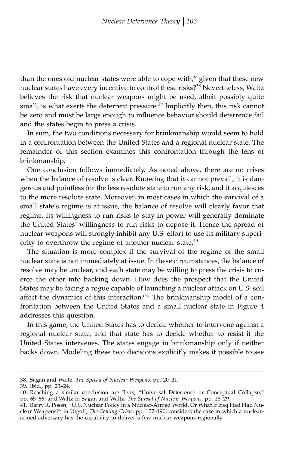than the ones old nuclear states were able to cope with," given that these new nuclear states have every incentive to control these risks?<sup>38</sup> Nevertheless, Waltz believes the risk that nuclear weapons might be used, albeit possibly quite small, is what exerts the deterrent pressure.<sup>39</sup> Implicitly then, this risk cannot be zero and must be large enough to influence behavior should deterrence fail and the states begin to press a crisis.

In sum, the two conditions necessary for brinkmanship would seem to hold in a confrontation between the United States and a regional nuclear state. The remainder of this section examines this confrontation through the lens of brinkmanship.

One conclusion follows immediately. As noted above, there are no crises when the balance of resolve is clear. Knowing that it cannot prevail, it is dangerous and pointless for the less resolute state to run any risk, and it acquiesces to the more resolute state. Moreover, in most cases in which the survival of a small state´s regime is at issue, the balance of resolve will clearly favor that regime. Its willingness to run risks to stay in power will generally dominate the United States´ willingness to run risks to depose it. Hence the spread of nuclear weapons will strongly inhibit any U.S. effort to use its military superiority to overthrow the regime of another nuclear state. $40$ 

The situation is more complex if the survival of the regime of the small nuclear state is not immediately at issue. In these circumstances, the balance of resolve may be unclear, and each state may be willing to press the crisis to coerce the other into backing down. How does the prospect that the United States may be facing a rogue capable of launching a nuclear attack on U.S. soil affect the dynamics of this interaction?<sup>41</sup> The brinkmanship model of a confrontation between the United States and a small nuclear state in Figure 4 addresses this question.

In this game, the United States has to decide whether to intervene against a regional nuclear state, and that state has to decide whether to resist if the United States intervenes. The states engage in brinkmanship only if neither backs down. Modeling these two decisions explicitly makes it possible to see

<sup>38.</sup> Sagan and Waltz, *The Spread of Nuclear Weapons,* pp. 20–21.

<sup>39.</sup> Ibid., pp. 23–24.

<sup>40.</sup> Reaching a similar conclusion are Betts, "Universal Deterrence or Conceptual Collapse," pp. 65–66; and Waltz in Sagan and Waltz, *The Spread of Nuclear Weapons,* pp. 28–29.

<sup>41.</sup> Barry R. Posen, "U.S. Nuclear Policy in a Nuclear-Armed World, Or What If Iraq Had Had Nuclear Weapons?" in Utgoff, *The Coming Crisis,* pp. 157–190, considers the case in which a nucleararmed adversary has the capability to deliver a few nuclear weapons regionally.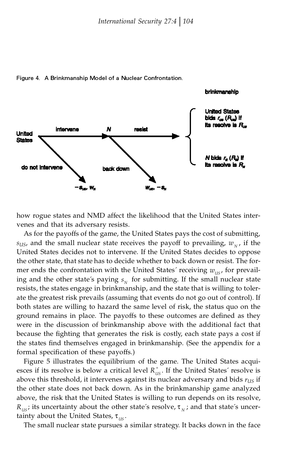**Figure 4. A Brinkmanship Model of a Nuclear Confrontation.**



how rogue states and NMD affect the likelihood that the United States intervenes and that its adversary resists.

As for the payoffs of the game, the United States pays the cost of submitting,  $s_{\text{US}}$ , and the small nuclear state receives the payoff to prevailing,  $w_{\text{N}}$ , if the United States decides not to intervene. If the United States decides to oppose the other state, that state has to decide whether to back down or resist. The former ends the confrontation with the United States' receiving  $w_{\text{NS}}$ , for prevailing and the other state's paying  $s_N$  for submitting. If the small nuclear state resists, the states engage in brinkmanship, and the state that is willing to tolerate the greatest risk prevails (assuming that events do not go out of control). If both states are willing to hazard the same level of risk, the status quo on the ground remains in place. The payoffs to these outcomes are defined as they were in the discussion of brinkmanship above with the additional fact that because the fighting that generates the risk is costly, each state pays a cost if the states find themselves engaged in brinkmanship. (See the appendix for a formal specification of these payoffs.)

Figure 5 illustrates the equilibrium of the game. The United States acquiesces if its resolve is below a critical level  $R_{\text{us}}^*$ . If the United States<sup> $\epsilon$ </sup> resolve is above this threshold, it intervenes against its nuclear adversary and bids *rUS* if the other state does not back down. As in the brinkmanship game analyzed above, the risk that the United States is willing to run depends on its resolve,  $R_{_{\text{US}}}$ ; its uncertainty about the other state's resolve,  $\tau_{_{N}}$ ; and that state's uncertainty about the United States,  $\tau_{\text{MS}}$ .

The small nuclear state pursues a similar strategy. It backs down in the face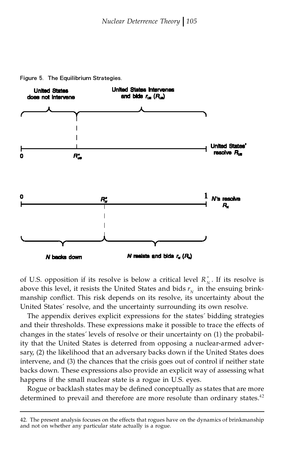

**Figure 5. The Equilibrium Strategies.**

of U.S. opposition if its resolve is below a critical level  $R_N^*$ . If its resolve is above this level, it resists the United States and bids  $r_N$  in the ensuing brinkmanship conflict. This risk depends on its resolve, its uncertainty about the United States´ resolve, and the uncertainty surrounding its own resolve.

The appendix derives explicit expressions for the states´ bidding strategies and their thresholds. These expressions make it possible to trace the effects of changes in the states´ levels of resolve or their uncertainty on (1) the probability that the United States is deterred from opposing a nuclear-armed adversary, (2) the likelihood that an adversary backs down if the United States does intervene, and (3) the chances that the crisis goes out of control if neither state backs down. These expressions also provide an explicit way of assessing what happens if the small nuclear state is a rogue in U.S. eyes.

Rogue or backlash states may be defined conceptually as states that are more determined to prevail and therefore are more resolute than ordinary states. $42$ 

<sup>42.</sup> The present analysis focuses on the effects that rogues have on the dynamics of brinkmanship and not on whether any particular state actually is a rogue.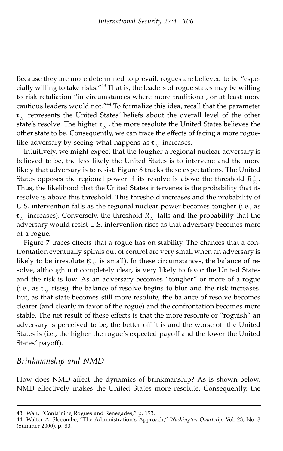Because they are more determined to prevail, rogues are believed to be "especially willing to take risks."<sup>43</sup> That is, the leaders of rogue states may be willing to risk retaliation "in circumstances where more traditional, or at least more cautious leaders would not."<sup>44</sup> To formalize this idea, recall that the parameter  $\tau_{N}$  represents the United States' beliefs about the overall level of the other state´s resolve. The higher  $\tau_{_{N}}$ , the more resolute the United States believes the other state to be. Consequently, we can trace the effects of facing a more roguelike adversary by seeing what happens as  $\bm{\tau}_{_N}$  increases.

Intuitively, we might expect that the tougher a regional nuclear adversary is believed to be, the less likely the United States is to intervene and the more likely that adversary is to resist. Figure 6 tracks these expectations. The United States opposes the regional power if its resolve is above the threshold  $R_{\text{us}}^*$ . Thus, the likelihood that the United States intervenes is the probability that its resolve is above this threshold. This threshold increases and the probability of U.S. intervention falls as the regional nuclear power becomes tougher (i.e., as  $\tau_N$  increases). Conversely, the threshold  $R_N^*$  falls and the probability that the adversary would resist U.S. intervention rises as that adversary becomes more of a rogue.

Figure 7 traces effects that a rogue has on stability. The chances that a confrontation eventually spirals out of control are very small when an adversary is likely to be irresolute ( $\tau_{\scriptscriptstyle N}$  is small). In these circumstances, the balance of resolve, although not completely clear, is very likely to favor the United States and the risk is low. As an adversary becomes "tougher" or more of a rogue (i.e., as  $\tau_N$  rises), the balance of resolve begins to blur and the risk increases. But, as that state becomes still more resolute, the balance of resolve becomes clearer (and clearly in favor of the rogue) and the confrontation becomes more stable. The net result of these effects is that the more resolute or "roguish" an adversary is perceived to be, the better off it is and the worse off the United States is (i.e., the higher the rogue´s expected payoff and the lower the United States´ payoff).

## *Brinkmanship and NMD*

How does NMD affect the dynamics of brinkmanship? As is shown below, NMD effectively makes the United States more resolute. Consequently, the

<sup>43.</sup> Walt, "Containing Rogues and Renegades," p. 193.

<sup>44.</sup> Walter A. Slocombe, "The Administration´s Approach," *Washington Quarterly,* Vol. 23, No. 3 (Summer 2000), p. 80.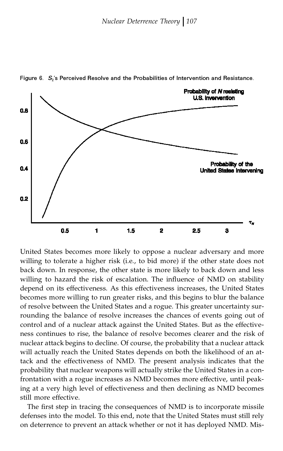

**Figure 6.** *S***<sup>2</sup> 's Perceived Resolve and the Probabilities of Intervention and Resistance.**

United States becomes more likely to oppose a nuclear adversary and more willing to tolerate a higher risk (i.e., to bid more) if the other state does not back down. In response, the other state is more likely to back down and less willing to hazard the risk of escalation. The influence of NMD on stability depend on its effectiveness. As this effectiveness increases, the United States becomes more willing to run greater risks, and this begins to blur the balance of resolve between the United States and a rogue. This greater uncertainty surrounding the balance of resolve increases the chances of events going out of control and of a nuclear attack against the United States. But as the effective ness continues to rise, the balance of resolve becomes clearer and the risk of nuclear attack begins to decline. Of course, the probability that a nuclear attack will actually reach the United States depends on both the likelihood of an attack and the effectiveness of NMD. The present analysis indicates that the probability that nuclear weapons will actually strike the United States in a confrontation with a rogue increases as NMD becomes more effective, until peaking at a very high level of effectiveness and then declining as NMD becomes still more effective.

The first step in tracing the consequences of NMD is to incorporate missile defenses into the model. To this end, note that the United States must still rely on deterrence to prevent an attack whether or not it has deployed NMD. Mis-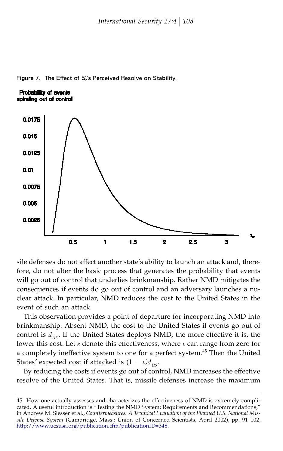





sile defenses do not affect another state´s ability to launch an attack and, therefore, do not alter the basic process that generates the probability that events will go out of control that underlies brinkmanship. Rather NMD mitigates the consequences if events do go out of control and an adversary launches a nuclear attack. In particular, NMD reduces the cost to the United States in the event of such an attack.

This observation provides a point of departure for incorporating NMD into brinkmanship. Absent NMD, the cost to the United States if events go out of control is  $d_{\text{US}}$ . If the United States deploys NMD, the more effective it is, the lower this cost. Let *e* denote this effectiveness, where *e* can range from zero for a completely ineffective system to one for a perfect system.<sup>45</sup> Then the United States´ expected cost if attacked is  $(1 - e)d_{US}$ .

By reducing the costs if events go out of control, NMD increases the effective resolve of the United States. That is, missile defenses increase the maximum

<sup>45.</sup> How one actually assesses and characterizes the effectiveness of NMD is extremely complicated. A useful introduction is "Testing the NMD System: Requirements and Recommendations," in Andrew M. Slesser et al., *Countermeasures: A Technical Evaluation of the Planned U.S*. *National Missile Defense System* (Cambridge, Mass.: Union of Concerned Scientists, April 2002), pp. 91–102, [http://www.ucsusa.org/publication.cfm?publicationID=348.](http://www.ucsusa.org/publication.cfm?publicationID=348)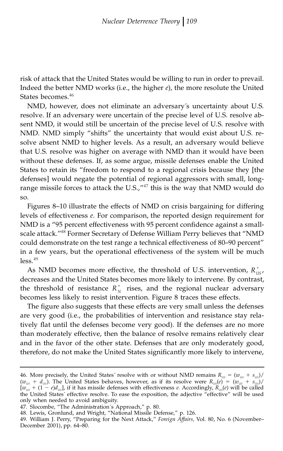risk of attack that the United States would be willing to run in order to prevail. Indeed the better NMD works (i.e., the higher *e*), the more resolute the United States becomes.<sup>46</sup>

NMD, however, does not eliminate an adversary´s uncertainty about U.S. resolve. If an adversary were uncertain of the precise level of U.S. resolve absent NMD, it would still be uncertain of the precise level of U.S. resolve with NMD. NMD simply "shifts" the uncertainty that would exist about U.S. resolve absent NMD to higher levels. As a result, an adversary would believe that U.S. resolve was higher on average with NMD than it would have been without these defenses. If, as some argue, missile defenses enable the United States to retain its "freedom to respond to a regional crisis because they [the defenses] would negate the potential of regional aggressors with small, longrange missile forces to attack the U.S., $n47$  this is the way that NMD would do so.

Figures 8–10 illustrate the effects of NMD on crisis bargaining for differing levels of effectiveness *e.* For comparison, the reported design requirement for NMD is a "95 percent effectiveness with 95 percent confidence against a smallscale attack."<sup>48</sup> Former Secretary of Defense William Perry believes that "NMD could demonstrate on the test range a technical effectiveness of 80–90 percent" in a few years, but the operational effectiveness of the system will be much  $less<sup>49</sup>$ 

As NMD becomes more effective, the threshold of U.S. intervention,  $R_{\text{US}}^*$ , decreases and the United States becomes more likely to intervene. By contrast, the threshold of resistance  $R_N^*$  rises, and the regional nuclear adversary becomes less likely to resist intervention. Figure 8 traces these effects.

The figure also suggests that these effects are very small unless the defenses are very good (i.e., the probabilities of intervention and resistance stay relatively flat until the defenses become very good). If the defenses are no more than moderately effective, then the balance of resolve remains relatively clear and in the favor of the other state. Defenses that are only moderately good, therefore, do not make the United States significantly more likely to intervene,

<sup>46.</sup> More precisely, the United States' resolve with or without NMD remains  $R_{\mu s} = (w_{\mu s} + s_{\mu s})/$  $(w_{us} + d_{us})$ . The United States behaves, however, as if its resolve were  $R_{us}(e) = (w_{us} + s_{us})/$  $[w_{us} + (1 - e)d_{us}]$ , if it has missile defenses with effectiveness *e*. Accordingly,  $R_{us}(e)$  will be called the United States´ effective resolve. To ease the exposition, the adjective "effective" will be used only when needed to avoid ambiguity.

<sup>47.</sup> Slocombe, "The Administration´s Approach," p. 80.

<sup>48.</sup> Lewis, Gronlund, and Wright, "National Missile Defense," p. 126.

<sup>49.</sup> William J. Perry, "Preparing for the Next Attack," *Foreign Affairs,* Vol. 80, No. 6 (November– December 2001), pp. 64–80.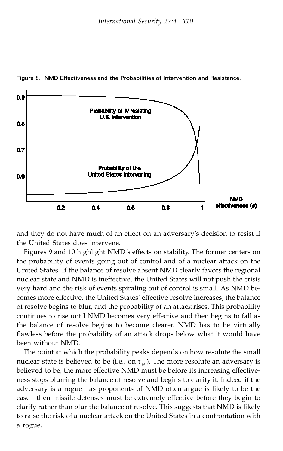

**Figure 8. NMD Effectiveness and the Probabilities of Intervention and Resistance.**

and they do not have much of an effect on an adversary´s decision to resist if the United States does intervene.

Figures 9 and 10 highlight NMD´s effects on stability. The former centers on the probability of events going out of control and of a nuclear attack on the United States. If the balance of resolve absent NMD clearly favors the regional nuclear state and NMD is ineffective, the United States will not push the crisis very hard and the risk of events spiraling out of control is small. As NMD becomes more effective, the United States´ effective resolve increases, the balance of resolve begins to blur, and the probability of an attack rises. This probability continues to rise until NMD becomes very effective and then begins to fall as the balance of resolve begins to become clearer. NMD has to be virtually flawless before the probability of an attack drops below what it would have been without NMD.

The point at which the probability peaks depends on how resolute the small nuclear state is believed to be (i.e., on  $\tau_{\scriptscriptstyle N}$ ). The more resolute an adversary is believed to be, the more effective NMD must be before its increasing effectiveness stops blurring the balance of resolve and begins to clarify it. Indeed if the adversary is a rogue—as proponents of NMD often argue is likely to be the case—then missile defenses must be extremely effective before they begin to clarify rather than blur the balance of resolve. This suggests that NMD is likely to raise the risk of a nuclear attack on the United States in a confrontation with a rogue.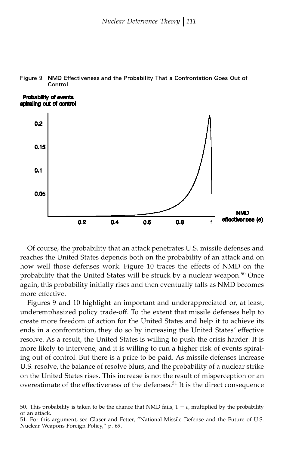





Of course, the probability that an attack penetrates U.S. missile defenses and reaches the United States depends both on the probability of an attack and on how well those defenses work. Figure 10 traces the effects of NMD on the probability that the United States will be struck by a nuclear weapon.<sup>50</sup> Once again, this probability initially rises and then eventually falls as NMD becomes more effective.

Figures 9 and 10 highlight an important and underappreciated or, at least, underemphasized policy trade-off. To the extent that missile defenses help to create more freedom of action for the United States and help it to achieve its ends in a confrontation, they do so by increasing the United States´ effective resolve. As a result, the United States is willing to push the crisis harder: It is more likely to intervene, and it is willing to run a higher risk of events spiraling out of control. But there is a price to be paid. As missile defenses increase U.S. resolve, the balance of resolve blurs, and the probability of a nuclear strike on the United States rises. This increase is not the result of misperception or an overestimate of the effectiveness of the defenses.<sup>51</sup> It is the direct consequence

<sup>50.</sup> This probability is taken to be the chance that NMD fails,  $1 - e$ , multiplied by the probability of an attack.

<sup>51.</sup> For this argument, see Glaser and Fetter, "National Missile Defense and the Future of U.S. Nuclear Weapons Foreign Policy," p. 69.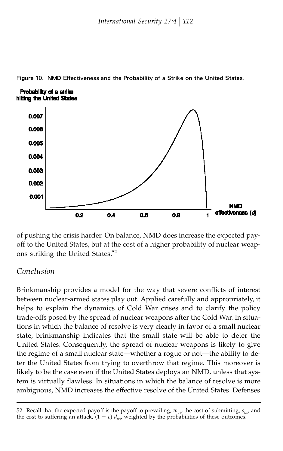



Probability of a strike hitting the United St

of pushing the crisis harder. On balance, NMD does increase the expected payoff to the United States, but at the cost of a higher probability of nuclear weapons striking the United States.<sup>52</sup>

# *Conclusion*

Brinkmanship provides a model for the way that severe conflicts of interest between nuclear-armed states play out. Applied carefully and appropriately, it helps to explain the dynamics of Cold War crises and to clarify the policy trade-offs posed by the spread of nuclear weapons after the Cold War. In situations in which the balance of resolve is very clearly in favor of a small nuclear state, brinkmanship indicates that the small state will be able to deter the United States. Consequently, the spread of nuclear weapons is likely to give the regime of a small nuclear state—whether a rogue or not—the ability to deter the United States from trying to overthrow that regime. This moreover is likely to be the case even if the United States deploys an NMD, unless that system is virtually flawless. In situations in which the balance of resolve is more ambiguous, NMD increases the effective resolve of the United States. Defenses

<sup>52.</sup> Recall that the expected payoff is the payoff to prevailing,  $w_{\mu s}$ , the cost of submitting,  $s_{\mu s}$ , and the cost to suffering an attack,  $(1 - e)$   $d_{\text{US}}$ , weighted by the probabilities of these outcomes.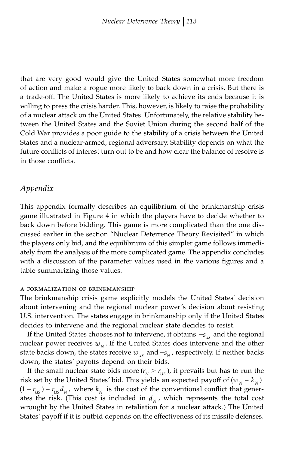that are very good would give the United States somewhat more freedom of action and make a rogue more likely to back down in a crisis. But there is a trade-off. The United States is more likely to achieve its ends because it is willing to press the crisis harder. This, however, is likely to raise the probability of a nuclear attack on the United States. Unfortunately, the relative stability between the United States and the Soviet Union during the second half of the Cold War provides a poor guide to the stability of a crisis between the United States and a nuclear-armed, regional adversary. Stability depends on what the future conflicts of interest turn out to be and how clear the balance of resolve is in those conflicts.

# *Appendix*

This appendix formally describes an equilibrium of the brinkmanship crisis game illustrated in Figure 4 in which the players have to decide whether to back down before bidding. This game is more complicated than the one discussed earlier in the section "Nuclear Deterrence Theory Revisited" in which the players only bid, and the equilibrium of this simpler game follows immediately from the analysis of the more complicated game. The appendix concludes with a discussion of the parameter values used in the various figures and a table summarizing those values.

#### a formalization of brinkmanship

The brinkmanship crisis game explicitly models the United States´ decision about intervening and the regional nuclear power´s decision about resisting U.S. intervention. The states engage in brinkmanship only if the United States decides to intervene and the regional nuclear state decides to resist.

If the United States chooses not to intervene, it obtains  $-s_{\text{US}}$  and the regional nuclear power receives  $w_{N}$ . If the United States does intervene and the other state backs down, the states receive  $w_{_{\!U\!S}}$  and  $-s_{_{\!N}}$ , respectively. If neither backs down, the states´ payoffs depend on their bids.

If the small nuclear state bids more  $(r_N > r_{IIS})$ , it prevails but has to run the risk set by the United States' bid. This yields an expected payoff of  $(w<sub>N</sub> - k<sub>N</sub>)$  $(1 - r_{\text{us}}) - r_{\text{us}} d_N$ , where  $k_N$  is the cost of the conventional conflict that generates the risk. (This cost is included in  $d_N$ , which represents the total cost wrought by the United States in retaliation for a nuclear attack.) The United States´ payoff if it is outbid depends on the effectiveness of its missile defenses.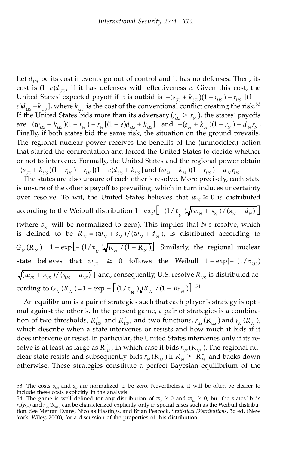Let  $d_{\text{US}}$  be its cost if events go out of control and it has no defenses. Then, its cost is  $(1-e)d_{HS}$ , if it has defenses with effectiveness *e*. Given this cost, the United States' expected payoff if it is outbid is  $-(s_{\text{MS}} + k_{\text{MS}})(1 - r_{\text{MS}}) - r_{\text{MS}}$  [(1 –  $e) d_{\text{US}} + k_{\text{US}}$ , where  $k_{\text{US}}$  is the cost of the conventional conflict creating the risk.<sup>53</sup> If the United States bids more than its adversary ( $r_{_{\!US}} > r_{_{\!N}}$  ), the states´ payoffs are  $(w_{\text{us}} - k_{\text{us}})(1 - r_{\text{N}}) - r_{\text{N}}[(1 - e)d_{\text{us}} + k_{\text{us}}]$  and  $-(s_{\text{N}} + k_{\text{N}})(1 - r_{\text{N}}) - d_{\text{N}}r_{\text{N}}$ . Finally, if both states bid the same risk, the situation on the ground prevails. The regional nuclear power receives the benefits of the (unmodeled) action that started the confrontation and forced the United States to decide whether or not to intervene. Formally, the United States and the regional power obtain  $-(s_{\text{us}}+k_{\text{us}})(1-r_{\text{us}})-r_{\text{us}}[(1-e)d_{\text{us}}+k_{\text{us}}]$  and  $(w_{\text{N}}-k_{\text{N}})(1-r_{\text{us}})-d_{\text{N}}r_{\text{us}}$ .

The states are also unsure of each other´s resolve. More precisely, each state is unsure of the other´s payoff to prevailing, which in turn induces uncertainty over resolve. To wit, the United States believes that  $w_N \geq 0$  is distributed according to the Weibull distribution  $1 - \exp\left[-(1/\tau_{N} + s_{N})/(s_{N} + d_{N})\right]$ (where  $s_N$  will be normalized to zero). This implies that  $N$ 's resolve, which is defined to be  $R_N = (w_N + s_N)/(w_N + d_N)$ , is distributed according to  $G_N(R_N^-) = 1 - \exp\left[-\left(1/\tau_{N}^-\right)\sqrt{R_N^+/(1-R_N^-)}\right]$ . Similarly, the regional nuclear state believes that  $w_{\text{US}} \ge 0$  follows the Weibull  $1 - \exp[- (1/\tau_{\text{US}}))$  $\sqrt{(w_{\text{US}} + s_{\text{US}})/(s_{\text{US}} + d_{\text{US}})}$  ] and, consequently, U.S. resolve  $R_{\text{US}}$  is distributed according to  $G_N(R_N)$  = 1 – exp –  $[(1/\tau_N)\sqrt{R_N/(1-Rs_N)}]$ .<sup>54</sup>

An equilibrium is a pair of strategies such that each player´s strategy is optimal against the other´s. In the present game, a pair of strategies is a combination of two thresholds,  $R_{US}^*$  and  $R_{US}^*$ , and two functions,  $r_{US}(R_{US})$  and  $r_N(R_N)$ , which describe when a state intervenes or resists and how much it bids if it does intervene or resist. In particular, the United States intervenes only if its resolve is at least as large as  $R_{_{\rm US}}^*$ , in which case it bids  $r_{_{\rm US}}(R_{_{\rm US}})$ . The regional nuclear state resists and subsequently bids  $r_N(R_N)$  if  $R_N \geq R_N^*$  and backs down otherwise. These strategies constitute a perfect Bayesian equilibrium of the

<sup>53.</sup> The costs  $s_{\text{US}}$  and  $s_{\text{N}}$  are normalized to be zero. Nevertheless, it will be often be clearer to include these costs explicitly in the analysis.

<sup>54.</sup> The game is well defined for any distribution of  $w_N \ge 0$  and  $w_{us} \ge 0$ , but the states' bids  $r_{\scriptscriptstyle N}(R_{\scriptscriptstyle N})$  and  $r_{\scriptscriptstyle US}(R_{\scriptscriptstyle US})$  can be characterized explicitly only in special cases such as the Weibull distribution. See Merran Evans, Nicolas Hastings, and Brian Peacock, *Statistical Distributions,* 3d ed. (New York: Wiley, 2000), for a discussion of the properties of this distribution.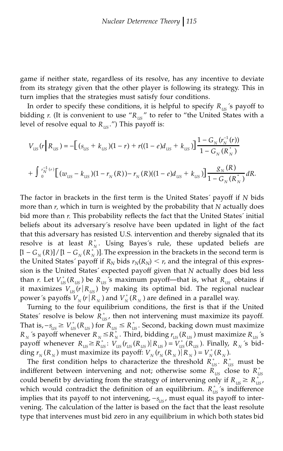game if neither state, regardless of its resolve, has any incentive to deviate from its strategy given that the other player is following its strategy. This in turn implies that the strategies must satisfy four conditions.

In order to specify these conditions, it is helpful to specify  $R_{\text{US}}$ 's payoff to bidding *r*. (It is convenient to use " $R_{US}$ " to refer to "the United States with a level of resolve equal to  $R_{\text{NS}}$ .") This payoff is:

$$
V_{US}(r \mid R_{US}) = -\Big[ (s_{US} + k_{US})(1 - r) + r((1 - e)d_{US} + k_{US}) \Big] \frac{1 - G_N(r_N^{-1}(r))}{1 - G_N(R_N^*)}
$$
  
+ 
$$
\int_{0}^{r_N^{-1}(r)} \Big[ (w_{US} - k_{US})(1 - r_N(R)) - r_N(R)((1 - e)d_{US} + k_{US}) \Big] \frac{g_N(R)}{1 - G_N(R_N^*)} dR.
$$

The factor in brackets in the first term is the United States' payoff if *N* bids more than *r,* which in turn is weighted by the probability that *N* actually does bid more than *r*. This probability reflects the fact that the United States' initial beliefs about its adversary´s resolve have been updated in light of the fact that this adversary has resisted U.S. intervention and thereby signaled that its resolve is at least  $R_N^*$ . Using Bayes's rule, these updated beliefs are  $[1 - G<sub>N</sub>(R)]/[1 - G<sub>N</sub>(R<sup>*</sup><sub>N</sub>)]$ . The expression in the brackets in the second term is the United States' payoff if  $R_N$  bids  $r_N(R_N) < r$ , and the integral of this expression is the United States´ expected payoff given that *N* actually does bid less than *r*. Let  $V_{\text{US}}^*(R_{\text{US}})$  be  $R_{\text{US}}$  's maximum payoff—that is, what  $R_{\text{US}}$  obtains if it maximizes  $V_{\text{IR}}(r|R_{\text{IR}})$  by making its optimal bid. The regional nuclear power´s payoffs  $V_N^*(r|R_N^-)$  and  $V_N^*(R_N^-)$  are defined in a parallel way.

Turning to the four equilibrium conditions, the first is that if the United States´ resolve is below  $R_{\text{US}}^*$ , then not intervening must maximize its payoff. That is,  $-s_{US} \geq V_{US}^*(R_{US})$  for  $R_{US} \leq R_{US}^*$ . Second, backing down must maximize  $R_N$  's payoff whenever  $R_N \leq R_N^*$ . Third, bidding  $r_{US}(R_{US})$  must maximize  $R_{US}$  's payoff whenever  $R_{\text{us}} \geq R_{\text{us}}^*$ :  $V_{\text{us}}(r_{\text{us}}(R_{\text{us}})|R_{\text{us}}) = V_{\text{us}}^*(R_{\text{us}})$ . Finally,  $R_{\text{N}}$  is bidding  $r_N(R_N)$  must maximize its payoff:  $V_N(r_N(R_N)|R_N) = V_N^*(R_N)$ .

ng  $r_N(R_N)$  must maximize its payoff:  $V_N(r_N(R_N)|R_N) = V_N^*(R_N)$ .<br>The first condition helps to characterize the threshold  $R_{US}^*$ .  $R_{US}^*$  must be indifferent between intervening and not; otherwise some  $R_{\text{US}}$  close to  $R_{\text{US}}^*$ could benefit by deviating from the strategy of intervening only if  $R_{\text{US}} \geq R_{\text{US}}^*$ , which would contradict the definition of an equilibrium.  $R_{\text{US}}^*$ 's indifference implies that its payoff to not intervening,  $-s_{\text{MS}}$ , must equal its payoff to intervening. The calculation of the latter is based on the fact that the least resolute type that intervenes must bid zero in any equilibrium in which both states bid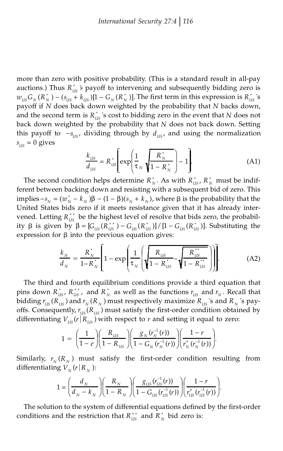more than zero with positive probability. (This is a standard result in all-pay auctions.) Thus  $R_{\textit{\tiny{US}}}^*$  *s* payoff to intervening and subsequently bidding zero is  $w_{US}G_N(R_N^*) - (s_{US} + k_{US})[1 - G_N(R_N^*)]$ . The first term in this expression is  $R_{US}^*$  's payoff if *N* does back down weighted by the probability that *N* backs down, and the second term is  $R_{US}^*$ 's cost to bidding zero in the event that *N* does not back down weighted by the probability that *N* does not back down. Setting this payoff to  $-s_{\text{MS}}$ , dividing through by  $d_{\text{MS}}$ , and using the normalization  $s$ <sub>*US*</sub> = 0 gives

$$
\frac{k_{\rm US}}{d_{\rm US}} = R_{\rm US}^* \left[ \exp\left( \frac{1}{\tau_N} \sqrt{\frac{R_N^*}{1 - R_N^*}} \right) - 1 \right].
$$
 (A1)

The second condition helps determine  $R_N^*$ . As with  $R_{US}^*$ ,  $R_N^*$  must be indifferent between backing down and resisting with a subsequent bid of zero. This implies  $-s_N = (w_N^* - k_N)\beta - (1 - \beta)(s_N + k_N)$ , where  $\beta$  is the probability that the United States bids zero if it meets resistance given that it has already intervened. Letting  $R_{\text{US}}^{**}$  be the highest level of resolve that bids zero, the probability  $\beta$  is given by  $\beta = [G_{US}(R_{US}^{**}) - G_{US}(R_{US}^*)]/[1 - G_{US}(R_{US}^*)]$ . Substituting the expression for  $\beta$  into the previous equation gives:

$$
\frac{k_N}{d_N} = \frac{R_N^*}{1 - R_N^*} \left[ 1 - \exp\left(\frac{1}{\tau_N} \left( \sqrt{\frac{R_{_{US}}}{1 - R_{_{US}}^*}} - \sqrt{\frac{R_{_{US}}^{**}}{1 - R_{_{US}}^{**}}} \right) \right) \right].
$$
 (A2)

The third and fourth equilibrium conditions provide a third equation that pins down  $R_{US}^*$ ,  $R_{US}^{**}$ , and  $R_N^*$  as well as the functions  $r_{US}$  and  $r_N$ . Recall that bidding  $r_{_{\!U\!S}}(R_{_{\,U\!S}})$  and  $r_{_N}(R_{_{\,N}})$  must respectively maximize  $R_{_{\,U\!S}}$  's and  $R_{_{\,N}}$  's payoffs. Consequently,  $r_{\text{IIS}}(R_{\text{IIS}})$  must satisfy the first-order condition obtained by differentiating  $V_{\text{HS}}(r | R_{\text{HS}})$  with respect to *r* and setting it equal to zero:

$$
1 = \left(\frac{1}{1-e}\right)\left(\frac{R_{_{US}}}{1-R_{_{US}}}\right)\left(\frac{g_{_N}(r_N^{-1}(r))}{1-G_{_N}(r_N^{-1}(r))}\right)\left(\frac{1-r}{r'_{_N}(r_N^{-1}(r))}\right).
$$

Similarly,  $r_{N}$   $(R_{N}$  must satisfy the first-order condition resulting from differentiating  $V_N^{}(r|R_N^{})$ :

$$
1 = \left(\frac{d_N}{d_N - k_N}\right) \left(\frac{R_N}{1 - R_N}\right) \left(\frac{g_{US}(r_{US}^{-1}(r))}{1 - G_{US}(r_{US}^{-1}(r))}\right) \left(\frac{1 - r}{r_{US}'(r_{US}^{-1}(r))}\right).
$$

The solution to the system of differential equations defined by the first-order conditions and the restriction that  $R_{US}^{**}$  and  $R_N^*$  bid zero is: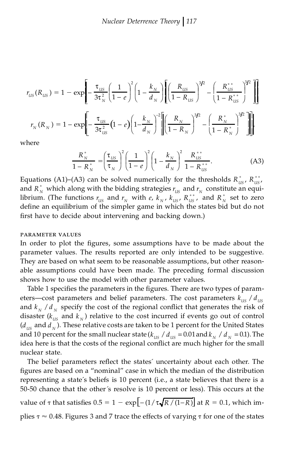$$
r_{US}(R_{US}) = 1 - \exp\left[-\frac{\tau_{US}}{3\tau_N^2} \left(\frac{1}{1-e}\right)^2 \left(1 - \frac{k_N}{d_N}\right) \left[\left(\frac{R_{US}}{1-R_{US}}\right)^{3/2} - \left(\frac{R_{US}^{**}}{1-R_{US}^{**}}\right)^{3/2}\right]\right]
$$

$$
r_N(R_N) = 1 - \exp\left[-\frac{\tau_{US}}{3\tau_{US}^2} \left(1 - e\right) \left(1 - \frac{k_N}{d_N}\right)^{-2} \left[\left(\frac{R_N}{1-R_N}\right)^{3/2} - \left(\frac{R_N^*}{1-R_N^*}\right)^{3/2}\right]\right]
$$

where

$$
\frac{R_N^*}{1 - R_N^*} = \left(\frac{\tau_{US}}{\tau_N}\right)^2 \left(\frac{1}{1 - e}\right)^2 \left(1 - \frac{k_N}{d_N}\right)^2 \frac{R_{US}^{**}}{1 - R_{US}^{**}}.
$$
 (A3)

Equations (A1)–(A3) can be solved numerically for the thresholds  $R_{\text{US}}^*$ ,  $R_{\text{US}}^*$ , and  $R_N^*$  which along with the bidding strategies  $r_{\text{US}}$  and  $r_N$  constitute an equilibrium. (The functions  $r_{US}$  and  $r_N$  with *e*,  $k_N$ ,  $k_{US}$ ,  $R_{US}^{**}$ , and  $R_N^*$  set to zero define an equilibrium of the simpler game in which the states bid but do not first have to decide about intervening and backing down.)

#### parameter values

In order to plot the figures, some assumptions have to be made about the parameter values. The results reported are only intended to be suggestive. They are based on what seem to be reasonable assumptions, but other reasonable assumptions could have been made. The preceding formal discussion shows how to use the model with other parameter values.

Table 1 specifies the parameters in the figures. There are two types of parameters—cost parameters and belief parameters. The cost parameters  $k_{\text{MS}}$  /  $d_{\text{MS}}$ and  $k_N / d_N$  specify the cost of the regional conflict that generates the risk of disaster ( $k_{\text{US}}$  and  $k_{\text{N}}$ ) relative to the cost incurred if events go out of control  $(d_{\text{US}}$  and  $d_{\text{N}}$ ). These relative costs are taken to be 1 percent for the United States and 10 percent for the small nuclear state ( $k_{\text{us}}$  /  $d_{\text{us}}$  = 0.01 and  $k_{\text{N}}$  /  $d_{\text{N}}$  = 0.1). The idea here is that the costs of the regional conflict are much higher for the small nuclear state.

The belief parameters reflect the states' uncertainty about each other. The figures are based on a "nominal" case in which the median of the distribution representing a state´s beliefs is 10 percent (i.e., a state believes that there is a 50-50 chance that the other´s resolve is 10 percent or less). This occurs at the value of  $\tau$  that satisfies  $0.5 = 1 - \exp[-(1/\tau \sqrt{R/(1-R)})]$  at  $R = 0.1$ , which implies  $\tau \approx 0.48$ . Figures 3 and 7 trace the effects of varying  $\tau$  for one of the states